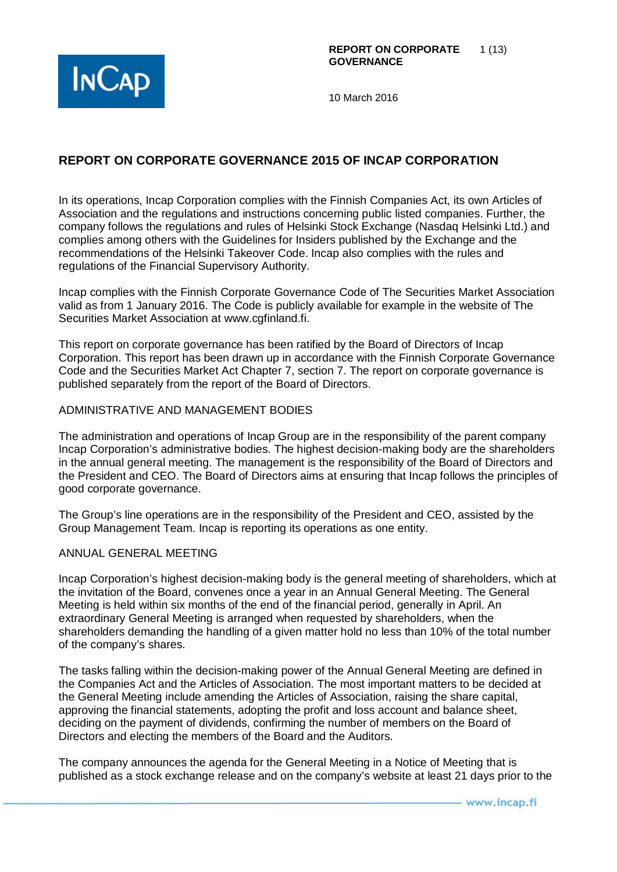

# **REPORT ON CORPORATE GOVERNANCE 2015 OF INCAP CORPORATION**

In its operations, Incap Corporation complies with the Finnish Companies Act, its own Articles of Association and the regulations and instructions concerning public listed companies. Further, the company follows the regulations and rules of Helsinki Stock Exchange (Nasdaq Helsinki Ltd.) and complies among others with the Guidelines for Insiders published by the Exchange and the recommendations of the Helsinki Takeover Code. Incap also complies with the rules and regulations of the Financial Supervisory Authority.

Incap complies with the Finnish Corporate Governance Code of The Securities Market Association valid as from 1 January 2016. The Code is publicly available for example in the website of The Securities Market Association at www.cgfinland.fi.

This report on corporate governance has been ratified by the Board of Directors of Incap Corporation. This report has been drawn up in accordance with the Finnish Corporate Governance Code and the Securities Market Act Chapter 7, section 7. The report on corporate governance is published separately from the report of the Board of Directors.

#### ADMINISTRATIVE AND MANAGEMENT BODIES

The administration and operations of Incap Group are in the responsibility of the parent company Incap Corporation's administrative bodies. The highest decision-making body are the shareholders in the annual general meeting. The management is the responsibility of the Board of Directors and the President and CEO. The Board of Directors aims at ensuring that Incap follows the principles of good corporate governance.

The Group's line operations are in the responsibility of the President and CEO, assisted by the Group Management Team. Incap is reporting its operations as one entity.

#### ANNUAL GENERAL MEETING

Incap Corporation's highest decision-making body is the general meeting of shareholders, which at the invitation of the Board, convenes once a year in an Annual General Meeting. The General Meeting is held within six months of the end of the financial period, generally in April. An extraordinary General Meeting is arranged when requested by shareholders, when the shareholders demanding the handling of a given matter hold no less than 10% of the total number of the company's shares.

The tasks falling within the decision-making power of the Annual General Meeting are defined in the Companies Act and the Articles of Association. The most important matters to be decided at the General Meeting include amending the Articles of Association, raising the share capital, approving the financial statements, adopting the profit and loss account and balance sheet, deciding on the payment of dividends, confirming the number of members on the Board of Directors and electing the members of the Board and the Auditors.

The company announces the agenda for the General Meeting in a Notice of Meeting that is published as a stock exchange release and on the company's website at least 21 days prior to the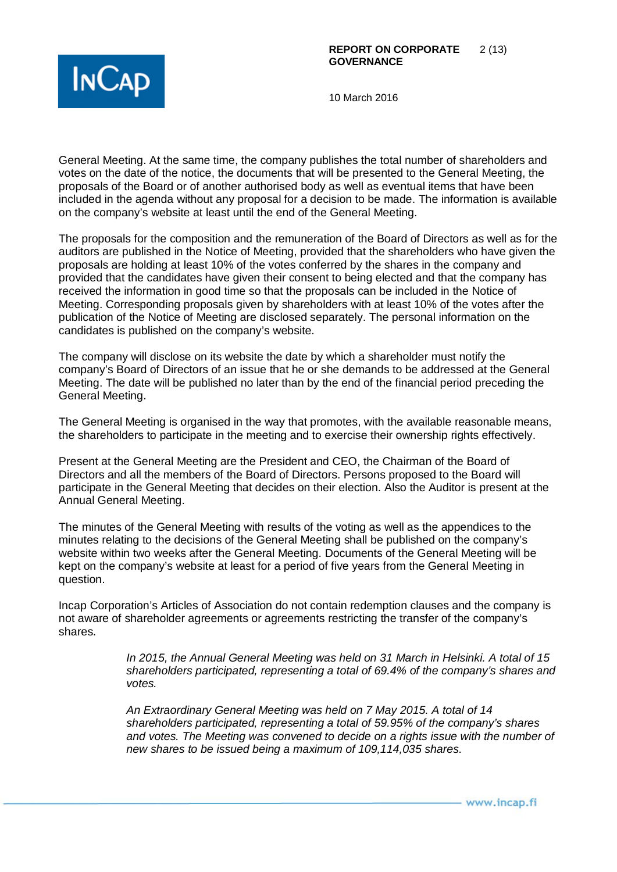

General Meeting. At the same time, the company publishes the total number of shareholders and votes on the date of the notice, the documents that will be presented to the General Meeting, the proposals of the Board or of another authorised body as well as eventual items that have been included in the agenda without any proposal for a decision to be made. The information is available on the company's website at least until the end of the General Meeting.

The proposals for the composition and the remuneration of the Board of Directors as well as for the auditors are published in the Notice of Meeting, provided that the shareholders who have given the proposals are holding at least 10% of the votes conferred by the shares in the company and provided that the candidates have given their consent to being elected and that the company has received the information in good time so that the proposals can be included in the Notice of Meeting. Corresponding proposals given by shareholders with at least 10% of the votes after the publication of the Notice of Meeting are disclosed separately. The personal information on the candidates is published on the company's website.

The company will disclose on its website the date by which a shareholder must notify the company's Board of Directors of an issue that he or she demands to be addressed at the General Meeting. The date will be published no later than by the end of the financial period preceding the General Meeting.

The General Meeting is organised in the way that promotes, with the available reasonable means, the shareholders to participate in the meeting and to exercise their ownership rights effectively.

Present at the General Meeting are the President and CEO, the Chairman of the Board of Directors and all the members of the Board of Directors. Persons proposed to the Board will participate in the General Meeting that decides on their election. Also the Auditor is present at the Annual General Meeting.

The minutes of the General Meeting with results of the voting as well as the appendices to the minutes relating to the decisions of the General Meeting shall be published on the company's website within two weeks after the General Meeting. Documents of the General Meeting will be kept on the company's website at least for a period of five years from the General Meeting in question.

Incap Corporation's Articles of Association do not contain redemption clauses and the company is not aware of shareholder agreements or agreements restricting the transfer of the company's shares.

> *In 2015, the Annual General Meeting was held on 31 March in Helsinki. A total of 15 shareholders participated, representing a total of 69.4% of the company's shares and votes.*

> *An Extraordinary General Meeting was held on 7 May 2015. A total of 14 shareholders participated, representing a total of 59.95% of the company's shares and votes. The Meeting was convened to decide on a rights issue with the number of new shares to be issued being a maximum of 109,114,035 shares.*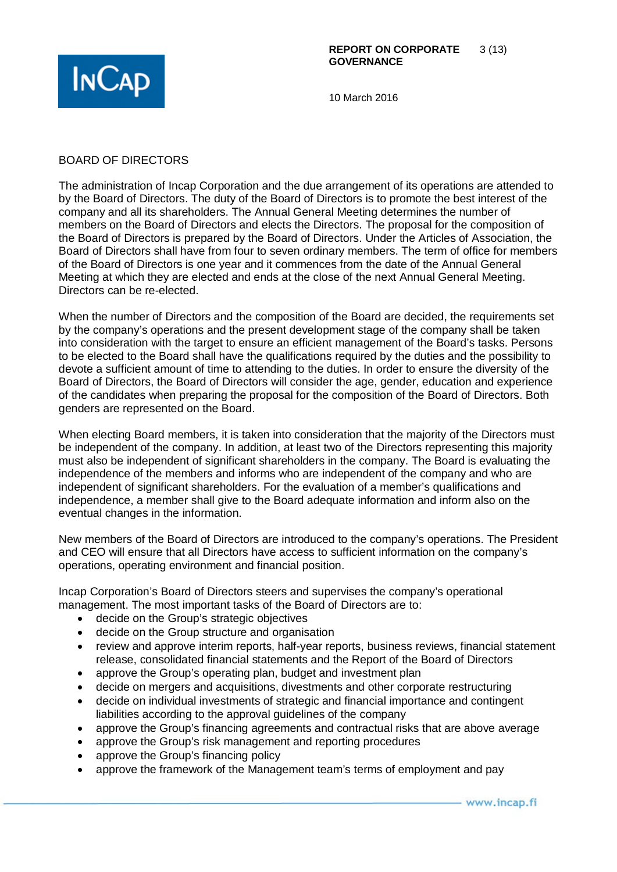

### BOARD OF DIRECTORS

The administration of Incap Corporation and the due arrangement of its operations are attended to by the Board of Directors. The duty of the Board of Directors is to promote the best interest of the company and all its shareholders. The Annual General Meeting determines the number of members on the Board of Directors and elects the Directors. The proposal for the composition of the Board of Directors is prepared by the Board of Directors. Under the Articles of Association, the Board of Directors shall have from four to seven ordinary members. The term of office for members of the Board of Directors is one year and it commences from the date of the Annual General Meeting at which they are elected and ends at the close of the next Annual General Meeting. Directors can be re-elected.

When the number of Directors and the composition of the Board are decided, the requirements set by the company's operations and the present development stage of the company shall be taken into consideration with the target to ensure an efficient management of the Board's tasks. Persons to be elected to the Board shall have the qualifications required by the duties and the possibility to devote a sufficient amount of time to attending to the duties. In order to ensure the diversity of the Board of Directors, the Board of Directors will consider the age, gender, education and experience of the candidates when preparing the proposal for the composition of the Board of Directors. Both genders are represented on the Board.

When electing Board members, it is taken into consideration that the majority of the Directors must be independent of the company. In addition, at least two of the Directors representing this majority must also be independent of significant shareholders in the company. The Board is evaluating the independence of the members and informs who are independent of the company and who are independent of significant shareholders. For the evaluation of a member's qualifications and independence, a member shall give to the Board adequate information and inform also on the eventual changes in the information.

New members of the Board of Directors are introduced to the company's operations. The President and CEO will ensure that all Directors have access to sufficient information on the company's operations, operating environment and financial position.

Incap Corporation's Board of Directors steers and supervises the company's operational management. The most important tasks of the Board of Directors are to:

- decide on the Group's strategic objectives
- decide on the Group structure and organisation
- review and approve interim reports, half-year reports, business reviews, financial statement release, consolidated financial statements and the Report of the Board of Directors
- approve the Group's operating plan, budget and investment plan
- decide on mergers and acquisitions, divestments and other corporate restructuring
- decide on individual investments of strategic and financial importance and contingent liabilities according to the approval guidelines of the company
- approve the Group's financing agreements and contractual risks that are above average
- approve the Group's risk management and reporting procedures
- approve the Group's financing policy
- approve the framework of the Management team's terms of employment and pay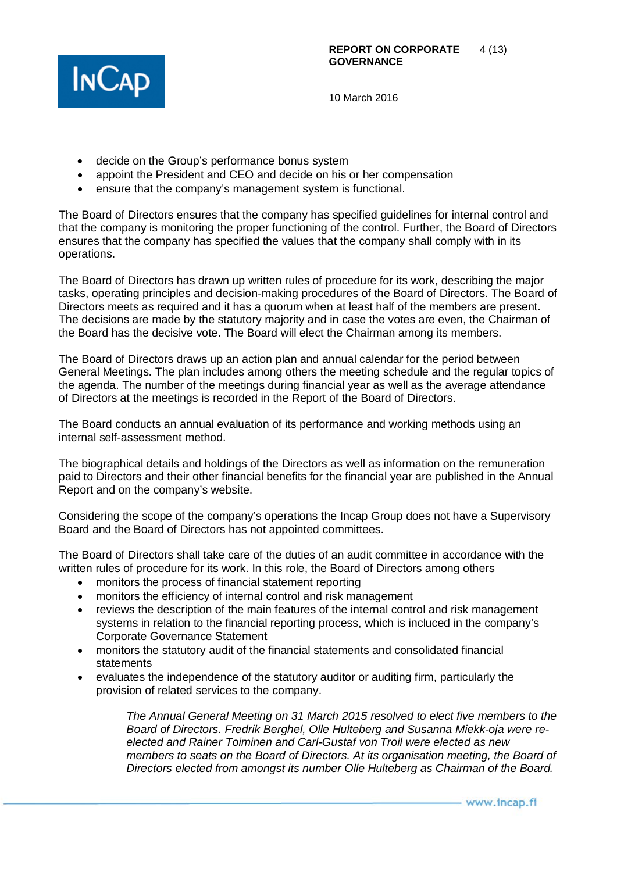

- decide on the Group's performance bonus system
- appoint the President and CEO and decide on his or her compensation
- ensure that the company's management system is functional.

The Board of Directors ensures that the company has specified guidelines for internal control and that the company is monitoring the proper functioning of the control. Further, the Board of Directors ensures that the company has specified the values that the company shall comply with in its operations.

The Board of Directors has drawn up written rules of procedure for its work, describing the major tasks, operating principles and decision-making procedures of the Board of Directors. The Board of Directors meets as required and it has a quorum when at least half of the members are present. The decisions are made by the statutory majority and in case the votes are even, the Chairman of the Board has the decisive vote. The Board will elect the Chairman among its members.

The Board of Directors draws up an action plan and annual calendar for the period between General Meetings. The plan includes among others the meeting schedule and the regular topics of the agenda. The number of the meetings during financial year as well as the average attendance of Directors at the meetings is recorded in the Report of the Board of Directors.

The Board conducts an annual evaluation of its performance and working methods using an internal self-assessment method.

The biographical details and holdings of the Directors as well as information on the remuneration paid to Directors and their other financial benefits for the financial year are published in the Annual Report and on the company's website.

Considering the scope of the company's operations the Incap Group does not have a Supervisory Board and the Board of Directors has not appointed committees.

The Board of Directors shall take care of the duties of an audit committee in accordance with the written rules of procedure for its work. In this role, the Board of Directors among others

- monitors the process of financial statement reporting
- monitors the efficiency of internal control and risk management
- reviews the description of the main features of the internal control and risk management systems in relation to the financial reporting process, which is incluced in the company's Corporate Governance Statement
- monitors the statutory audit of the financial statements and consolidated financial statements
- evaluates the independence of the statutory auditor or auditing firm, particularly the provision of related services to the company.

*The Annual General Meeting on 31 March 2015 resolved to elect five members to the Board of Directors. Fredrik Berghel, Olle Hulteberg and Susanna Miekk-oja were reelected and Rainer Toiminen and Carl-Gustaf von Troil were elected as new members to seats on the Board of Directors. At its organisation meeting, the Board of Directors elected from amongst its number Olle Hulteberg as Chairman of the Board.*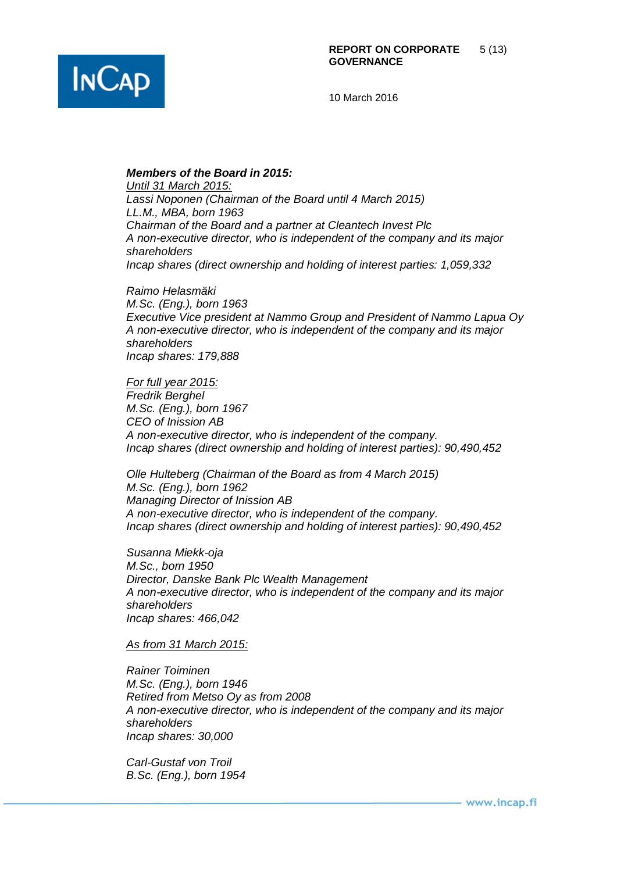

#### *Members of the Board in 2015:*

*Until 31 March 2015: Lassi Noponen (Chairman of the Board until 4 March 2015) LL.M., MBA, born 1963 Chairman of the Board and a partner at Cleantech Invest Plc A non-executive director, who is independent of the company and its major shareholders Incap shares (direct ownership and holding of interest parties: 1,059,332*

*Raimo Helasmäki M.Sc. (Eng.), born 1963 Executive Vice president at Nammo Group and President of Nammo Lapua Oy A non-executive director, who is independent of the company and its major shareholders Incap shares: 179,888*

*For full year 2015: Fredrik Berghel M.Sc. (Eng.), born 1967 CEO of Inission AB A non-executive director, who is independent of the company. Incap shares (direct ownership and holding of interest parties): 90,490,452*

*Olle Hulteberg (Chairman of the Board as from 4 March 2015) M.Sc. (Eng.), born 1962 Managing Director of Inission AB A non-executive director, who is independent of the company. Incap shares (direct ownership and holding of interest parties): 90,490,452*

*Susanna Miekk-oja M.Sc., born 1950 Director, Danske Bank Plc Wealth Management A non-executive director, who is independent of the company and its major shareholders Incap shares: 466,042*

#### *As from 31 March 2015:*

*Rainer Toiminen M.Sc. (Eng.), born 1946 Retired from Metso Oy as from 2008 A non-executive director, who is independent of the company and its major shareholders Incap shares: 30,000*

*Carl-Gustaf von Troil B.Sc. (Eng.), born 1954*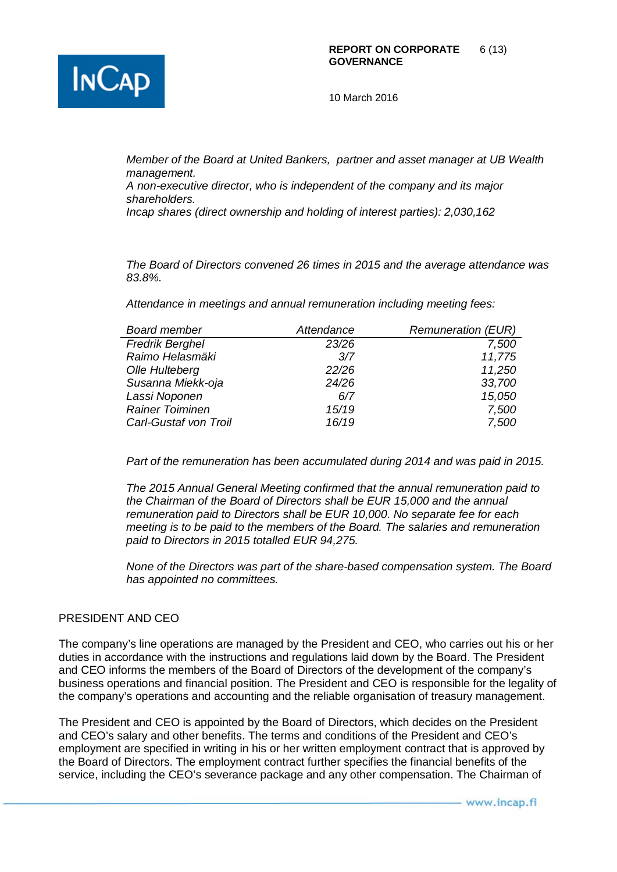

*Member of the Board at United Bankers, partner and asset manager at UB Wealth management.*

*A non-executive director, who is independent of the company and its major shareholders.*

*Incap shares (direct ownership and holding of interest parties): 2,030,162*

*The Board of Directors convened 26 times in 2015 and the average attendance was 83.8%.*

*Attendance in meetings and annual remuneration including meeting fees:*

| <b>Board member</b>    | Attendance | <b>Remuneration (EUR)</b> |
|------------------------|------------|---------------------------|
| <b>Fredrik Berghel</b> | 23/26      | 7,500                     |
| Raimo Helasmäki        | 3/7        | 11,775                    |
| Olle Hulteberg         | 22/26      | 11,250                    |
| Susanna Miekk-oja      | 24/26      | 33,700                    |
| Lassi Noponen          | 6/7        | 15,050                    |
| <b>Rainer Toiminen</b> | 15/19      | 7,500                     |
| Carl-Gustaf von Troil  | 16/19      | 7,500                     |
|                        |            |                           |

*Part of the remuneration has been accumulated during 2014 and was paid in 2015.* 

*The 2015 Annual General Meeting confirmed that the annual remuneration paid to the Chairman of the Board of Directors shall be EUR 15,000 and the annual remuneration paid to Directors shall be EUR 10,000. No separate fee for each meeting is to be paid to the members of the Board. The salaries and remuneration paid to Directors in 2015 totalled EUR 94,275.*

*None of the Directors was part of the share-based compensation system. The Board has appointed no committees.*

## PRESIDENT AND CEO

The company's line operations are managed by the President and CEO, who carries out his or her duties in accordance with the instructions and regulations laid down by the Board. The President and CEO informs the members of the Board of Directors of the development of the company's business operations and financial position. The President and CEO is responsible for the legality of the company's operations and accounting and the reliable organisation of treasury management.

The President and CEO is appointed by the Board of Directors, which decides on the President and CEO's salary and other benefits. The terms and conditions of the President and CEO's employment are specified in writing in his or her written employment contract that is approved by the Board of Directors. The employment contract further specifies the financial benefits of the service, including the CEO's severance package and any other compensation. The Chairman of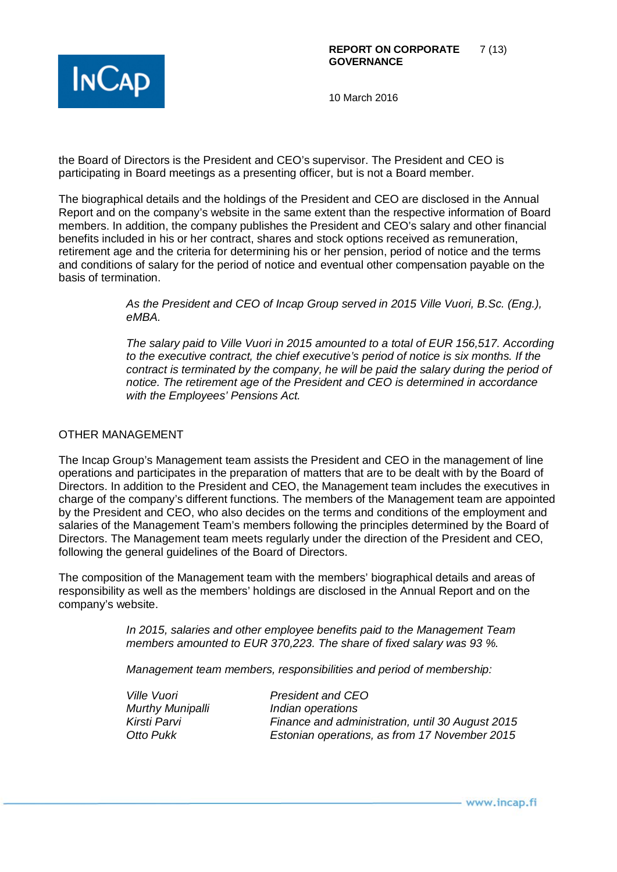

the Board of Directors is the President and CEO's supervisor. The President and CEO is participating in Board meetings as a presenting officer, but is not a Board member.

The biographical details and the holdings of the President and CEO are disclosed in the Annual Report and on the company's website in the same extent than the respective information of Board members. In addition, the company publishes the President and CEO's salary and other financial benefits included in his or her contract, shares and stock options received as remuneration, retirement age and the criteria for determining his or her pension, period of notice and the terms and conditions of salary for the period of notice and eventual other compensation payable on the basis of termination.

> *As the President and CEO of Incap Group served in 2015 Ville Vuori, B.Sc. (Eng.), eMBA.*

*The salary paid to Ville Vuori in 2015 amounted to a total of EUR 156,517. According to the executive contract, the chief executive's period of notice is six months. If the contract is terminated by the company, he will be paid the salary during the period of notice. The retirement age of the President and CEO is determined in accordance with the Employees' Pensions Act.* 

#### OTHER MANAGEMENT

The Incap Group's Management team assists the President and CEO in the management of line operations and participates in the preparation of matters that are to be dealt with by the Board of Directors. In addition to the President and CEO, the Management team includes the executives in charge of the company's different functions. The members of the Management team are appointed by the President and CEO, who also decides on the terms and conditions of the employment and salaries of the Management Team's members following the principles determined by the Board of Directors. The Management team meets regularly under the direction of the President and CEO, following the general guidelines of the Board of Directors.

The composition of the Management team with the members' biographical details and areas of responsibility as well as the members' holdings are disclosed in the Annual Report and on the company's website.

> *In 2015, salaries and other employee benefits paid to the Management Team members amounted to EUR 370,223. The share of fixed salary was 93 %.*

*Management team members, responsibilities and period of membership:*

*Ville Vuori President and CEO Murthy Munipalli Indian operations Kirsti Parvi Finance and administration, until 30 August 2015 Estonian operations, as from 17 November 2015*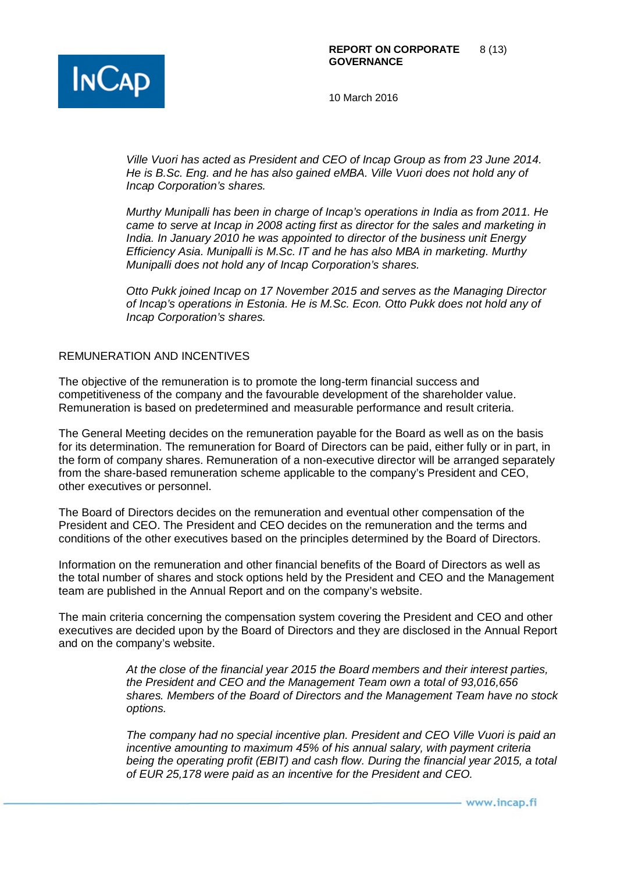

*Ville Vuori has acted as President and CEO of Incap Group as from 23 June 2014. He is B.Sc. Eng. and he has also gained eMBA. Ville Vuori does not hold any of Incap Corporation's shares.*

*Murthy Munipalli has been in charge of Incap's operations in India as from 2011. He came to serve at Incap in 2008 acting first as director for the sales and marketing in India. In January 2010 he was appointed to director of the business unit Energy Efficiency Asia. Munipalli is M.Sc. IT and he has also MBA in marketing. Murthy Munipalli does not hold any of Incap Corporation's shares.* 

*Otto Pukk joined Incap on 17 November 2015 and serves as the Managing Director of Incap's operations in Estonia. He is M.Sc. Econ. Otto Pukk does not hold any of Incap Corporation's shares.* 

## REMUNERATION AND INCENTIVES

The objective of the remuneration is to promote the long-term financial success and competitiveness of the company and the favourable development of the shareholder value. Remuneration is based on predetermined and measurable performance and result criteria.

The General Meeting decides on the remuneration payable for the Board as well as on the basis for its determination. The remuneration for Board of Directors can be paid, either fully or in part, in the form of company shares. Remuneration of a non-executive director will be arranged separately from the share-based remuneration scheme applicable to the company's President and CEO, other executives or personnel.

The Board of Directors decides on the remuneration and eventual other compensation of the President and CEO. The President and CEO decides on the remuneration and the terms and conditions of the other executives based on the principles determined by the Board of Directors.

Information on the remuneration and other financial benefits of the Board of Directors as well as the total number of shares and stock options held by the President and CEO and the Management team are published in the Annual Report and on the company's website.

The main criteria concerning the compensation system covering the President and CEO and other executives are decided upon by the Board of Directors and they are disclosed in the Annual Report and on the company's website.

> *At the close of the financial year 2015 the Board members and their interest parties, the President and CEO and the Management Team own a total of 93,016,656 shares. Members of the Board of Directors and the Management Team have no stock options.*

> *The company had no special incentive plan. President and CEO Ville Vuori is paid an incentive amounting to maximum 45% of his annual salary, with payment criteria being the operating profit (EBIT) and cash flow. During the financial year 2015, a total of EUR 25,178 were paid as an incentive for the President and CEO.*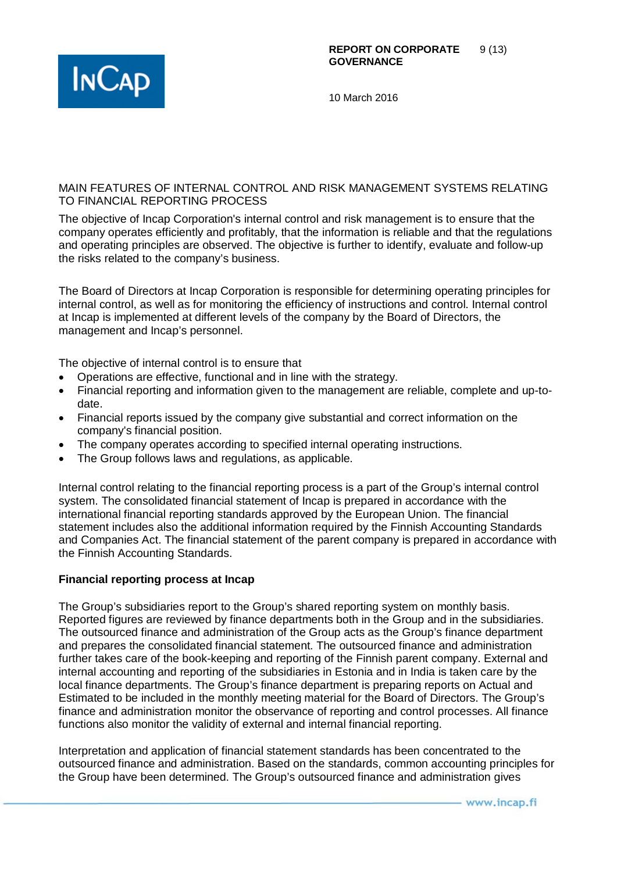

## MAIN FEATURES OF INTERNAL CONTROL AND RISK MANAGEMENT SYSTEMS RELATING TO FINANCIAL REPORTING PROCESS

The objective of Incap Corporation's internal control and risk management is to ensure that the company operates efficiently and profitably, that the information is reliable and that the regulations and operating principles are observed. The objective is further to identify, evaluate and follow-up the risks related to the company's business.

The Board of Directors at Incap Corporation is responsible for determining operating principles for internal control, as well as for monitoring the efficiency of instructions and control. Internal control at Incap is implemented at different levels of the company by the Board of Directors, the management and Incap's personnel.

The objective of internal control is to ensure that

- Operations are effective, functional and in line with the strategy.
- Financial reporting and information given to the management are reliable, complete and up-todate.
- Financial reports issued by the company give substantial and correct information on the company's financial position.
- The company operates according to specified internal operating instructions.
- The Group follows laws and regulations, as applicable.

Internal control relating to the financial reporting process is a part of the Group's internal control system. The consolidated financial statement of Incap is prepared in accordance with the international financial reporting standards approved by the European Union. The financial statement includes also the additional information required by the Finnish Accounting Standards and Companies Act. The financial statement of the parent company is prepared in accordance with the Finnish Accounting Standards.

## **Financial reporting process at Incap**

The Group's subsidiaries report to the Group's shared reporting system on monthly basis. Reported figures are reviewed by finance departments both in the Group and in the subsidiaries. The outsourced finance and administration of the Group acts as the Group's finance department and prepares the consolidated financial statement. The outsourced finance and administration further takes care of the book-keeping and reporting of the Finnish parent company. External and internal accounting and reporting of the subsidiaries in Estonia and in India is taken care by the local finance departments. The Group's finance department is preparing reports on Actual and Estimated to be included in the monthly meeting material for the Board of Directors. The Group's finance and administration monitor the observance of reporting and control processes. All finance functions also monitor the validity of external and internal financial reporting.

Interpretation and application of financial statement standards has been concentrated to the outsourced finance and administration. Based on the standards, common accounting principles for the Group have been determined. The Group's outsourced finance and administration gives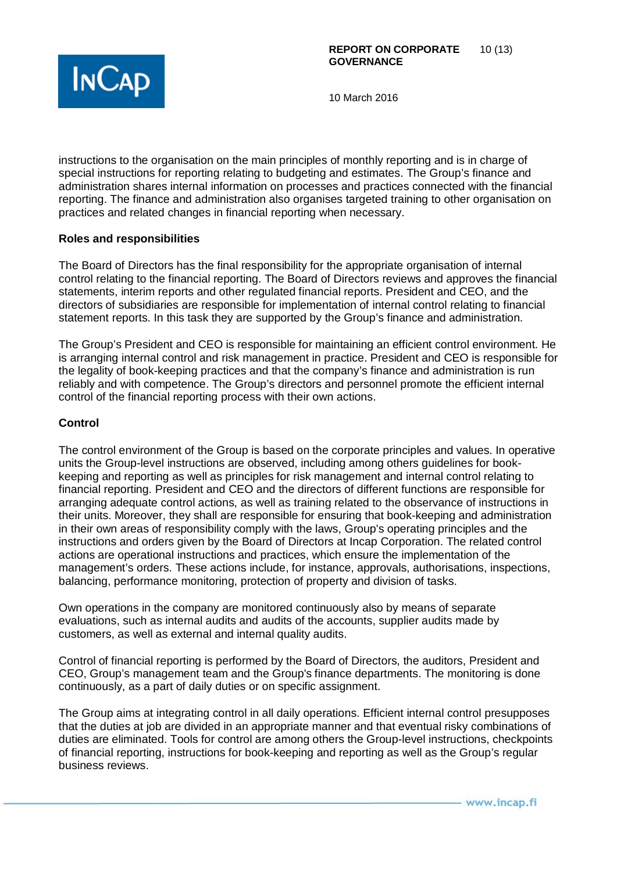

instructions to the organisation on the main principles of monthly reporting and is in charge of special instructions for reporting relating to budgeting and estimates. The Group's finance and administration shares internal information on processes and practices connected with the financial reporting. The finance and administration also organises targeted training to other organisation on practices and related changes in financial reporting when necessary.

## **Roles and responsibilities**

The Board of Directors has the final responsibility for the appropriate organisation of internal control relating to the financial reporting. The Board of Directors reviews and approves the financial statements, interim reports and other regulated financial reports. President and CEO, and the directors of subsidiaries are responsible for implementation of internal control relating to financial statement reports. In this task they are supported by the Group's finance and administration.

The Group's President and CEO is responsible for maintaining an efficient control environment. He is arranging internal control and risk management in practice. President and CEO is responsible for the legality of book-keeping practices and that the company's finance and administration is run reliably and with competence. The Group's directors and personnel promote the efficient internal control of the financial reporting process with their own actions.

#### **Control**

The control environment of the Group is based on the corporate principles and values. In operative units the Group-level instructions are observed, including among others guidelines for bookkeeping and reporting as well as principles for risk management and internal control relating to financial reporting. President and CEO and the directors of different functions are responsible for arranging adequate control actions, as well as training related to the observance of instructions in their units. Moreover, they shall are responsible for ensuring that book-keeping and administration in their own areas of responsibility comply with the laws, Group's operating principles and the instructions and orders given by the Board of Directors at Incap Corporation. The related control actions are operational instructions and practices, which ensure the implementation of the management's orders. These actions include, for instance, approvals, authorisations, inspections, balancing, performance monitoring, protection of property and division of tasks.

Own operations in the company are monitored continuously also by means of separate evaluations, such as internal audits and audits of the accounts, supplier audits made by customers, as well as external and internal quality audits.

Control of financial reporting is performed by the Board of Directors, the auditors, President and CEO, Group's management team and the Group's finance departments. The monitoring is done continuously, as a part of daily duties or on specific assignment.

The Group aims at integrating control in all daily operations. Efficient internal control presupposes that the duties at job are divided in an appropriate manner and that eventual risky combinations of duties are eliminated. Tools for control are among others the Group-level instructions, checkpoints of financial reporting, instructions for book-keeping and reporting as well as the Group's regular business reviews.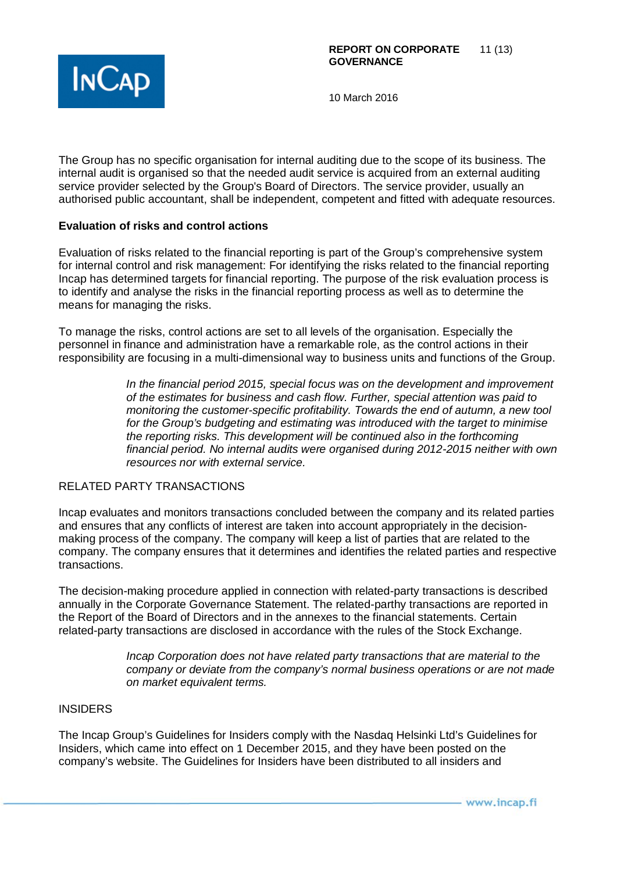

The Group has no specific organisation for internal auditing due to the scope of its business. The internal audit is organised so that the needed audit service is acquired from an external auditing service provider selected by the Group's Board of Directors. The service provider, usually an authorised public accountant, shall be independent, competent and fitted with adequate resources.

## **Evaluation of risks and control actions**

Evaluation of risks related to the financial reporting is part of the Group's comprehensive system for internal control and risk management: For identifying the risks related to the financial reporting Incap has determined targets for financial reporting. The purpose of the risk evaluation process is to identify and analyse the risks in the financial reporting process as well as to determine the means for managing the risks.

To manage the risks, control actions are set to all levels of the organisation. Especially the personnel in finance and administration have a remarkable role, as the control actions in their responsibility are focusing in a multi-dimensional way to business units and functions of the Group.

> *In the financial period 2015, special focus was on the development and improvement of the estimates for business and cash flow. Further, special attention was paid to monitoring the customer-specific profitability. Towards the end of autumn, a new tool for the Group's budgeting and estimating was introduced with the target to minimise the reporting risks. This development will be continued also in the forthcoming financial period. No internal audits were organised during 2012-2015 neither with own resources nor with external service.*

## RELATED PARTY TRANSACTIONS

Incap evaluates and monitors transactions concluded between the company and its related parties and ensures that any conflicts of interest are taken into account appropriately in the decisionmaking process of the company. The company will keep a list of parties that are related to the company. The company ensures that it determines and identifies the related parties and respective transactions.

The decision-making procedure applied in connection with related-party transactions is described annually in the Corporate Governance Statement. The related-parthy transactions are reported in the Report of the Board of Directors and in the annexes to the financial statements. Certain related-party transactions are disclosed in accordance with the rules of the Stock Exchange.

> *Incap Corporation does not have related party transactions that are material to the company or deviate from the company's normal business operations or are not made on market equivalent terms.*

#### **INSIDERS**

The Incap Group's Guidelines for Insiders comply with the Nasdaq Helsinki Ltd's Guidelines for Insiders, which came into effect on 1 December 2015, and they have been posted on the company's website. The Guidelines for Insiders have been distributed to all insiders and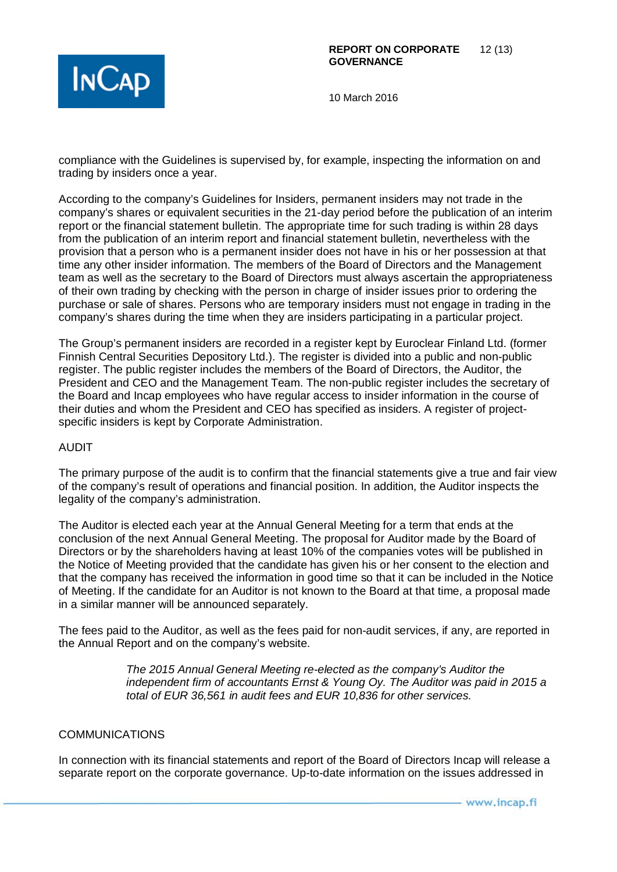

compliance with the Guidelines is supervised by, for example, inspecting the information on and trading by insiders once a year.

According to the company's Guidelines for Insiders, permanent insiders may not trade in the company's shares or equivalent securities in the 21-day period before the publication of an interim report or the financial statement bulletin. The appropriate time for such trading is within 28 days from the publication of an interim report and financial statement bulletin, nevertheless with the provision that a person who is a permanent insider does not have in his or her possession at that time any other insider information. The members of the Board of Directors and the Management team as well as the secretary to the Board of Directors must always ascertain the appropriateness of their own trading by checking with the person in charge of insider issues prior to ordering the purchase or sale of shares. Persons who are temporary insiders must not engage in trading in the company's shares during the time when they are insiders participating in a particular project.

The Group's permanent insiders are recorded in a register kept by Euroclear Finland Ltd. (former Finnish Central Securities Depository Ltd.). The register is divided into a public and non-public register. The public register includes the members of the Board of Directors, the Auditor, the President and CEO and the Management Team. The non-public register includes the secretary of the Board and Incap employees who have regular access to insider information in the course of their duties and whom the President and CEO has specified as insiders. A register of projectspecific insiders is kept by Corporate Administration.

## AUDIT

The primary purpose of the audit is to confirm that the financial statements give a true and fair view of the company's result of operations and financial position. In addition, the Auditor inspects the legality of the company's administration.

The Auditor is elected each year at the Annual General Meeting for a term that ends at the conclusion of the next Annual General Meeting. The proposal for Auditor made by the Board of Directors or by the shareholders having at least 10% of the companies votes will be published in the Notice of Meeting provided that the candidate has given his or her consent to the election and that the company has received the information in good time so that it can be included in the Notice of Meeting. If the candidate for an Auditor is not known to the Board at that time, a proposal made in a similar manner will be announced separately.

The fees paid to the Auditor, as well as the fees paid for non-audit services, if any, are reported in the Annual Report and on the company's website.

> *The 2015 Annual General Meeting re-elected as the company's Auditor the independent firm of accountants Ernst & Young Oy. The Auditor was paid in 2015 a total of EUR 36,561 in audit fees and EUR 10,836 for other services.*

#### COMMUNICATIONS

In connection with its financial statements and report of the Board of Directors Incap will release a separate report on the corporate governance. Up-to-date information on the issues addressed in